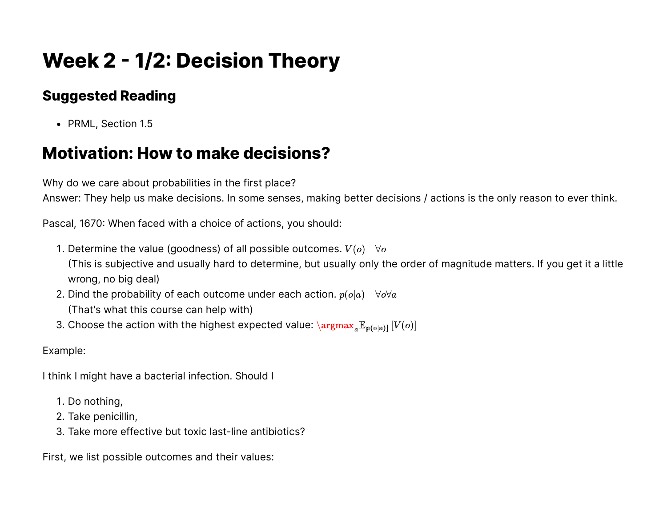# **Week 2 - 1/2: Decision Theory**

### **Suggested Reading**

• PRML, Section 1.5

## **Motivation: How to make decisions?**

Why do we care about probabilities in the first place?

Answer: They help us make decisions. In some senses, making better decisions / actions is the only reason to ever think.

Pascal, 1670: When faced with a choice of actions, you should:

- 1. Determine the value (goodness) of all possible outcomes.  $V(o) \quad \forall o$ (This is subjective and usually hard to determine, but usually only the order of magnitude matters. If you get it a little wrong, no big deal)
- 2. Dind the probability of each outcome under each action.  $p(o|a) \quad \forall o \forall a$ (That's what this course can help with)
- 3. Choose the action with the highest expected value:  $\langle \argmax_a \mathbb{E}_{\mathbb{P}(\mathsf{o} | \mathsf{a})]} \left[ V(o) \right]$

Example:

I think I might have a bacterial infection. Should I

- 1. Do nothing,
- 2. Take penicillin,
- 3. Take more effective but toxic last-line antibiotics?

First, we list possible outcomes and their values: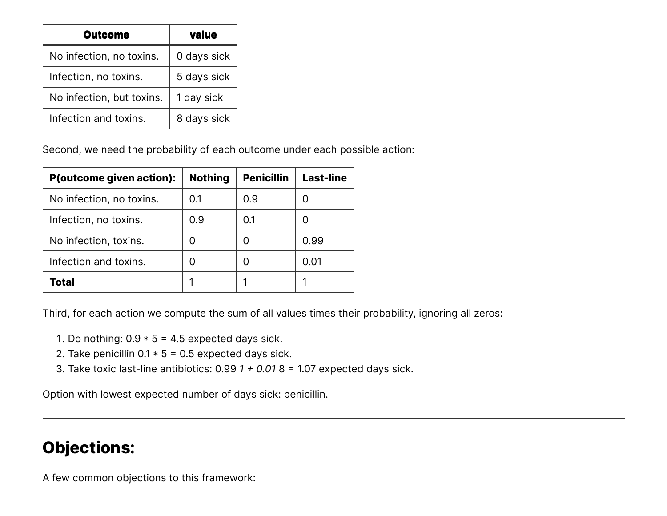| <b>Outcome</b>            | value       |
|---------------------------|-------------|
| No infection, no toxins.  | 0 days sick |
| Infection, no toxins.     | 5 days sick |
| No infection, but toxins. | 1 day sick  |
| Infection and toxins.     | 8 days sick |

Second, we need the probability of each outcome under each possible action:

| <b>P(outcome given action):</b> | <b>Nothing</b> | <b>Penicillin</b> | <b>Last-line</b> |
|---------------------------------|----------------|-------------------|------------------|
| No infection, no toxins.        | 0.1            | 0.9               |                  |
| Infection, no toxins.           | 0.9            | 0.1               |                  |
| No infection, toxins.           |                |                   | 0.99             |
| Infection and toxins.           |                |                   | 0.01             |
| <b>Total</b>                    |                |                   |                  |

Third, for each action we compute the sum of all values times their probability, ignoring all zeros:

- 1. Do nothing:  $0.9 * 5 = 4.5$  expected days sick.
- 2. Take penicillin  $0.1 * 5 = 0.5$  expected days sick.
- 3. Take toxic last-line antibiotics: 0.99 *1 + 0.01* 8 = 1.07 expected days sick.

Option with lowest expected number of days sick: penicillin.

# **Objections:**

A few common objections to this framework: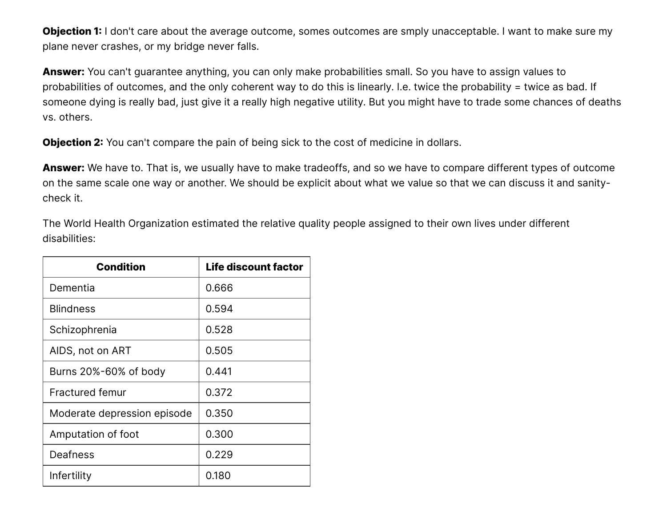**Objection 1:** I don't care about the average outcome, somes outcomes are smply unacceptable. I want to make sure my plane never crashes, or my bridge never falls.

**Answer:** You can't guarantee anything, you can only make probabilities small. So you have to assign values to probabilities of outcomes, and the only coherent way to do this is linearly. I.e. twice the probability = twice as bad. If someone dying is really bad, just give it a really high negative utility. But you might have to trade some chances of deaths vs. others.

**Objection 2:** You can't compare the pain of being sick to the cost of medicine in dollars.

**Answer:** We have to. That is, we usually have to make tradeoffs, and so we have to compare different types of outcome on the same scale one way or another. We should be explicit about what we value so that we can discuss it and sanitycheck it.

The World Health Organization estimated the relative quality people assigned to their own lives under different disabilities:

| <b>Condition</b>            | <b>Life discount factor</b> |
|-----------------------------|-----------------------------|
| Dementia                    | 0.666                       |
| <b>Blindness</b>            | 0.594                       |
| Schizophrenia               | 0.528                       |
| AIDS, not on ART            | 0.505                       |
| Burns 20%-60% of body       | 0.441                       |
| <b>Fractured femur</b>      | 0.372                       |
| Moderate depression episode | 0.350                       |
| Amputation of foot          | 0.300                       |
| Deafness                    | 0.229                       |
| Infertility                 | 0.180                       |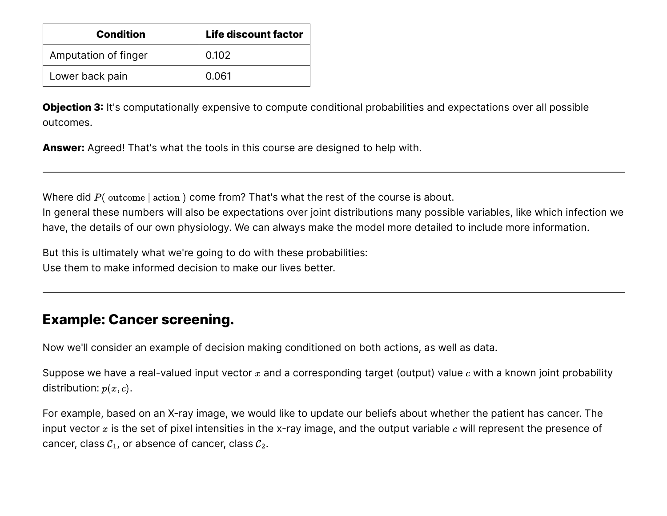| <b>Condition</b>     | <b>Life discount factor</b> |
|----------------------|-----------------------------|
| Amputation of finger | 0.102                       |
| Lower back pain      | 0.061                       |

**Objection 3:** It's computationally expensive to compute conditional probabilities and expectations over all possible outcomes.

**Answer:** Agreed! That's what the tools in this course are designed to help with.

Where did  $P($  outcome  $|$  action  $)$  come from? That's what the rest of the course is about.

In general these numbers will also be expectations over joint distributions many possible variables, like which infection we have, the details of our own physiology. We can always make the model more detailed to include more information.

But this is ultimately what we're going to do with these probabilities: Use them to make informed decision to make our lives better.

#### **Example: Cancer screening.**

Now we'll consider an example of decision making conditioned on both actions, as well as data.

Suppose we have a real-valued input vector  $x$  and a corresponding target (output) value  $c$  with a known joint probability distribution:  $p(x, c)$ .

For example, based on an X-ray image, we would like to update our beliefs about whether the patient has cancer. The input vector  $x$  is the set of pixel intensities in the x-ray image, and the output variable  $c$  will represent the presence of cancer, class  $C_1$ , or absence of cancer, class  $C_2$ .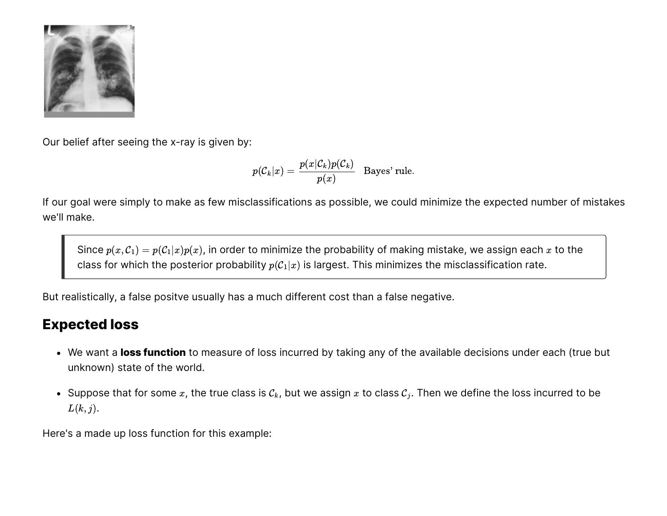

Our belief after seeing the x-ray is given by:

$$
p({\cal C}_k|x)=\frac{p(x|{\cal C}_k)p({\cal C}_k)}{p(x)}\ \ \, \text{Bayes' rule}.
$$

If our goal were simply to make as few misclassifications as possible, we could minimize the expected number of mistakes we'll make.

Since  $p(x, C_1) = p(C_1|x)p(x)$ , in order to minimize the probability of making mistake, we assign each x to the class for which the posterior probability  $p(C_1|x)$  is largest. This minimizes the misclassification rate.

But realistically, a false positve usually has a much different cost than a false negative.

#### **Expected loss**

- We want a **loss function** to measure of loss incurred by taking any of the available decisions under each (true but unknown) state of the world.
- Suppose that for some  $x$ , the true class is  $c_k$ , but we assign  $x$  to class  $c_j$ . Then we define the loss incurred to be  $L(k, j)$ .

Here's a made up loss function for this example: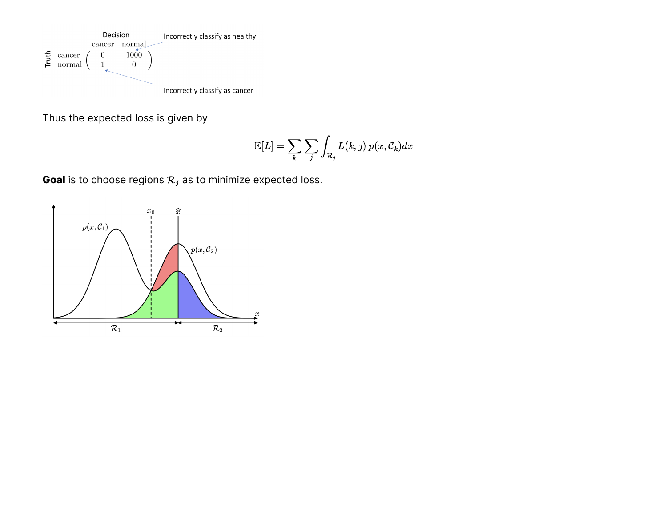

Thus the expected loss is given by

$$
\mathbb{E}[L]=\sum_k\sum_j\int_{\mathcal{R}_j}L(k,j)\:p(x,\mathcal{C}_k)dx
$$

**Goal** is to choose regions  $\mathcal{R}_j$  as to minimize expected loss.

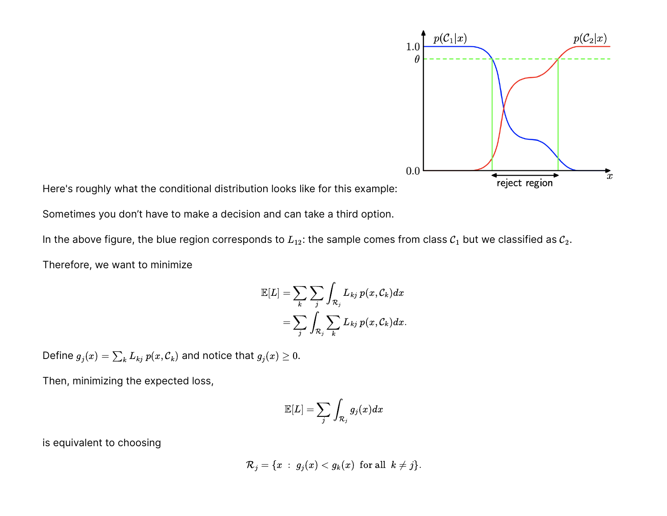

Here's roughly what the conditional distribution looks like for this example:

Sometimes you don't have to make a decision and can take a third option.

In the above figure, the blue region corresponds to  $L_{12}$ : the sample comes from class  $C_1$  but we classified as  $C_2$ .

Therefore, we want to minimize

$$
\mathbb{E}[L]=\sum_k\sum_j\int_{\mathcal{R}_j}L_{kj}\,p(x,\mathcal{C}_k)dx\\=\sum_j\int_{\mathcal{R}_j}\sum_kL_{kj}\,p(x,\mathcal{C}_k)dx.
$$

Define  $g_j(x) = \sum_k L_{kj} \, p(x, \mathcal{C}_k)$  and notice that  $g_j(x) \geq 0.$ 

Then, minimizing the expected loss,

$$
\mathbb{E}[L]=\sum_j\int_{\mathcal{R}_j}g_j(x)dx
$$

is equivalent to choosing

$$
\mathcal{R}_j = \{x \; : \; g_j(x) < g_k(x) \;\; \text{for all} \;\; k \neq j\}.
$$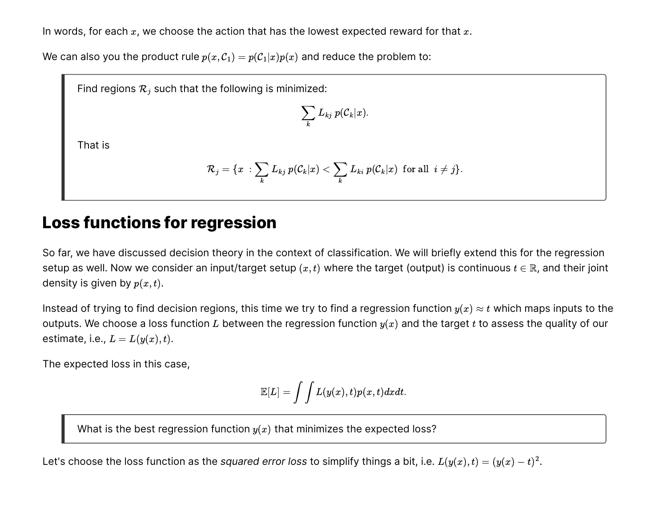In words, for each  $x$ , we choose the action that has the lowest expected reward for that  $x$ .

We can also you the product rule  $p(x, C_1) = p(C_1|x)p(x)$  and reduce the problem to:

Find regions  $\mathcal{R}_j$  such that the following is minimized:

$$
\sum_k L_{kj} \ p({\cal C}_k | x).
$$

That is

$$
\mathcal{R}_j = \{x\::\sum_k L_{kj}\:p(\mathcal{C}_k|x) < \sum_k L_{ki}\:p(\mathcal{C}_k|x)\:\:\text{for all}\:\:i \neq j\}.
$$

## **Loss functions for regression**

So far, we have discussed decision theory in the context of classification. We will briefly extend this for the regression setup as well. Now we consider an input/target setup  $(x,t)$  where the target (output) is continuous  $t\in\mathbb{R}$ , and their joint density is given by  $p(x,t)$ .

Instead of trying to find decision regions, this time we try to find a regression function  $y(x)\approx t$  which maps inputs to the outputs. We choose a loss function  $L$  between the regression function  $y(x)$  and the target  $t$  to assess the quality of our estimate, i.e.,  $L = L(y(x), t)$ .

The expected loss in this case,

$$
\mathbb{E}[L]=\int\int L(y(x),t)p(x,t)dxdt.
$$

What is the best regression function  $y(x)$  that minimizes the expected loss?

Let's choose the loss function as the *squared error loss* to simplify things a bit, i.e.  $L(y(x), t) = (y(x) - t)^2$ .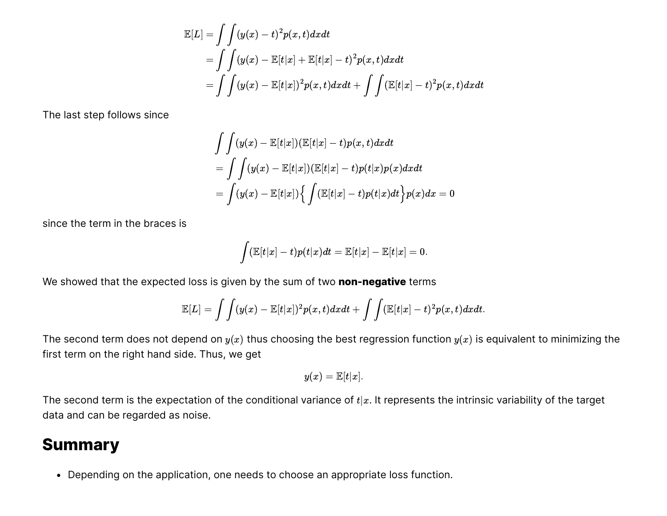$$
\mathbb{E}[L] = \int \int (y(x) - t)^2 p(x, t) dx dt
$$
  
= 
$$
\int \int (y(x) - \mathbb{E}[t|x] + \mathbb{E}[t|x] - t)^2 p(x, t) dx dt
$$
  
= 
$$
\int \int (y(x) - \mathbb{E}[t|x])^2 p(x, t) dx dt + \int \int (\mathbb{E}[t|x] - t)^2 p(x, t) dx dt
$$

The last step follows since

$$
\begin{aligned} &\int\int (y(x)-\mathbb{E}[t|x])(\mathbb{E}[t|x]-t)p(x,t)dxdt \\ &=\int\int (y(x)-\mathbb{E}[t|x])(\mathbb{E}[t|x]-t)p(t|x)p(x)dxdt \\ &=\int (y(x)-\mathbb{E}[t|x])\Big\{\int (\mathbb{E}[t|x]-t)p(t|x)dt\Big\}p(x)dx=0 \end{aligned}
$$

since the term in the braces is

$$
\int (\mathbb{E}[t|x] - t)p(t|x)dt = \mathbb{E}[t|x] - \mathbb{E}[t|x] = 0.
$$

We showed that the expected loss is given by the sum of two **non-negative** terms

$$
\mathbb{E}[L] = \int \int (y(x) - \mathbb{E}[t|x])^2 p(x,t) dx dt + \int \int (\mathbb{E}[t|x] - t)^2 p(x,t) dx dt.
$$

The second term does not depend on  $y(x)$  thus choosing the best regression function  $y(x)$  is equivalent to minimizing the first term on the right hand side. Thus, we get

$$
y(x) = \mathbb{E}[t|x].
$$

The second term is the expectation of the conditional variance of  $t|x$ . It represents the intrinsic variability of the target data and can be regarded as noise.

#### **Summary**

Depending on the application, one needs to choose an appropriate loss function.